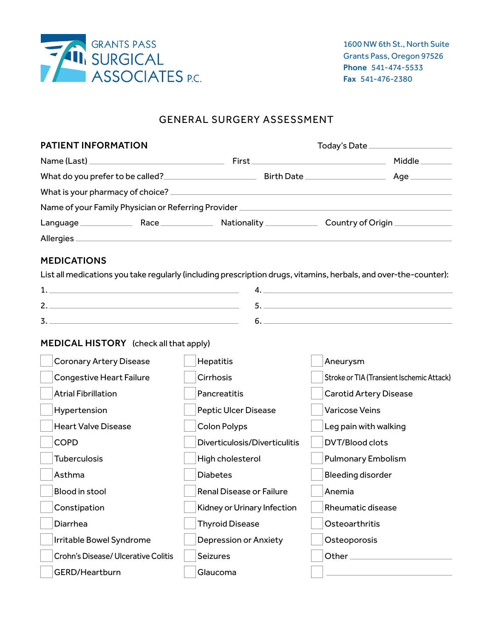

## GENERAL SURGERY ASSESSMENT

| <b>PATIENT INFORMATION</b>             |                               | Today's Date _____________________                                                                               |  |  |
|----------------------------------------|-------------------------------|------------------------------------------------------------------------------------------------------------------|--|--|
|                                        |                               | Middle                                                                                                           |  |  |
|                                        |                               |                                                                                                                  |  |  |
|                                        |                               |                                                                                                                  |  |  |
|                                        |                               |                                                                                                                  |  |  |
|                                        |                               | Language Race Race Nationality Country of Origin                                                                 |  |  |
|                                        |                               |                                                                                                                  |  |  |
| <b>MEDICATIONS</b>                     |                               |                                                                                                                  |  |  |
|                                        |                               | List all medications you take regularly (including prescription drugs, vitamins, herbals, and over-the-counter): |  |  |
|                                        |                               | $\mathbf{4.}$                                                                                                    |  |  |
|                                        |                               |                                                                                                                  |  |  |
|                                        |                               | 6.                                                                                                               |  |  |
| MEDICAL HISTORY (check all that apply) |                               |                                                                                                                  |  |  |
| <b>Coronary Artery Disease</b>         | Hepatitis                     | Aneurysm                                                                                                         |  |  |
| <b>Congestive Heart Failure</b>        | Cirrhosis                     | Stroke or TIA (Transient Ischemic Attack)                                                                        |  |  |
| <b>Atrial Fibrillation</b>             | Pancreatitis                  | <b>Carotid Artery Disease</b>                                                                                    |  |  |
| Hypertension                           | <b>Peptic Ulcer Disease</b>   | <b>Varicose Veins</b>                                                                                            |  |  |
| <b>Heart Valve Disease</b>             | <b>Colon Polyps</b>           | Leg pain with walking                                                                                            |  |  |
| <b>COPD</b>                            | Diverticulosis/Diverticulitis | <b>DVT/Blood clots</b>                                                                                           |  |  |
| <b>Tuberculosis</b>                    | High cholesterol              | <b>Pulmonary Embolism</b>                                                                                        |  |  |
| Asthma                                 | <b>Diabetes</b>               | Bleeding disorder                                                                                                |  |  |
| Blood in stool                         | Renal Disease or Failure      | Anemia                                                                                                           |  |  |
| Constipation                           | Kidney or Urinary Infection   | <b>Rheumatic disease</b>                                                                                         |  |  |
| Diarrhea                               | <b>Thyroid Disease</b>        | Osteoarthritis                                                                                                   |  |  |
| Irritable Bowel Syndrome               | <b>Depression or Anxiety</b>  | Osteoporosis                                                                                                     |  |  |
| Crohn's Disease/ Ulcerative Colitis    | Seizures                      | Other $\_$                                                                                                       |  |  |
| GERD/Heartburn                         | Glaucoma                      |                                                                                                                  |  |  |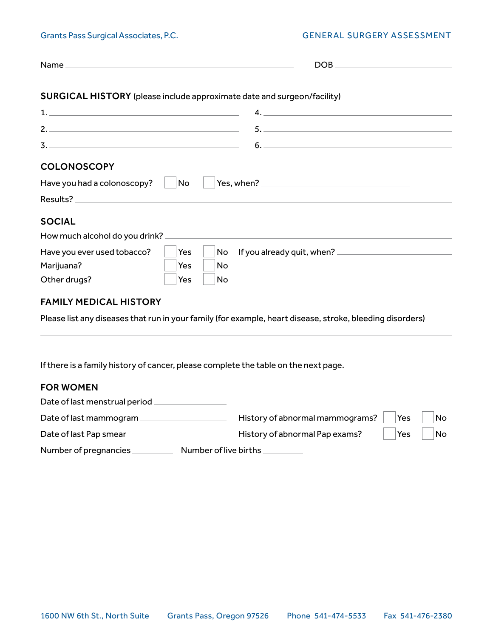|  | Grants Pass Surgical Associates, P.C. |  |
|--|---------------------------------------|--|
|  |                                       |  |

## GENERAL SURGERY ASSESSMENT

| $Name_$                                                                             |            |           |                                                                                                           |
|-------------------------------------------------------------------------------------|------------|-----------|-----------------------------------------------------------------------------------------------------------|
| <b>SURGICAL HISTORY</b> (please include approximate date and surgeon/facility)      |            |           |                                                                                                           |
|                                                                                     |            |           |                                                                                                           |
| 2.                                                                                  |            |           | 5.                                                                                                        |
|                                                                                     |            |           | 6.                                                                                                        |
| <b>COLONOSCOPY</b>                                                                  |            |           |                                                                                                           |
| Have you had a colonoscopy?                                                         | No         |           |                                                                                                           |
|                                                                                     |            |           |                                                                                                           |
| <b>SOCIAL</b>                                                                       |            |           |                                                                                                           |
|                                                                                     |            |           |                                                                                                           |
| Have you ever used tobacco?                                                         | Yes        | No        |                                                                                                           |
| Marijuana?                                                                          | <b>Yes</b> | <b>No</b> |                                                                                                           |
| Other drugs?                                                                        | Yes        | No        |                                                                                                           |
| <b>FAMILY MEDICAL HISTORY</b>                                                       |            |           |                                                                                                           |
|                                                                                     |            |           | Please list any diseases that run in your family (for example, heart disease, stroke, bleeding disorders) |
|                                                                                     |            |           |                                                                                                           |
| If there is a family history of cancer, please complete the table on the next page. |            |           |                                                                                                           |
| <b>FOR WOMEN</b>                                                                    |            |           |                                                                                                           |
| Date of last menstrual period _________________                                     |            |           |                                                                                                           |
| Date of last mammogram                                                              |            |           | History of abnormal mammograms?<br>Yes<br>No                                                              |
|                                                                                     |            |           | History of abnormal Pap exams?<br>No<br>Yes                                                               |
|                                                                                     |            |           |                                                                                                           |

Number of pregnancies \_\_\_\_\_\_\_\_\_\_\_\_\_ Number of live births \_\_\_\_\_\_\_\_\_\_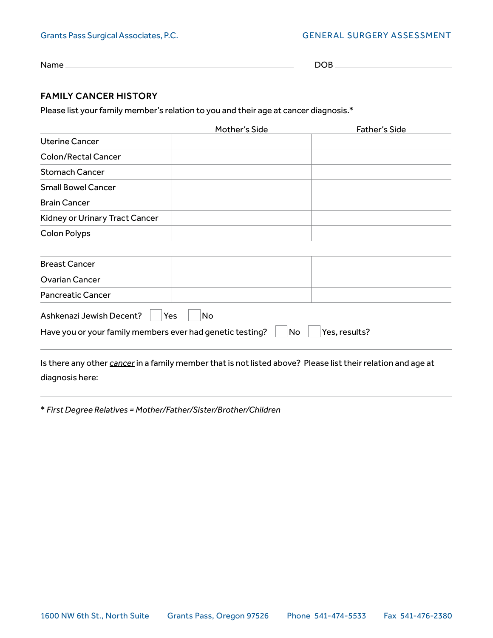## Grants Pass Surgical Associates, P.C. GENERAL SURGERY ASSESSMENT

Name DOB

## FAMILY CANCER HISTORY

Please list your family member's relation to you and their age at cancer diagnosis.\*

|                                                                                                              | Mother's Side | <b>Father's Side</b> |
|--------------------------------------------------------------------------------------------------------------|---------------|----------------------|
| Uterine Cancer                                                                                               |               |                      |
| <b>Colon/Rectal Cancer</b>                                                                                   |               |                      |
| <b>Stomach Cancer</b>                                                                                        |               |                      |
| <b>Small Bowel Cancer</b>                                                                                    |               |                      |
| <b>Brain Cancer</b>                                                                                          |               |                      |
| Kidney or Urinary Tract Cancer                                                                               |               |                      |
| <b>Colon Polyps</b>                                                                                          |               |                      |
|                                                                                                              |               |                      |
| <b>Breast Cancer</b>                                                                                         |               |                      |
| <b>Ovarian Cancer</b>                                                                                        |               |                      |
| <b>Pancreatic Cancer</b>                                                                                     |               |                      |
| Ashkenazi Jewish Decent?<br>Yes                                                                              | No            |                      |
| Have you or your family members ever had genetic testing?                                                    | No            | Yes, results?        |
| Is there any other cancer in a family member that is not listed above? Please list their relation and age at |               |                      |
| diagnosis here:                                                                                              |               |                      |

\* *First Degree Relatives = Mother/Father/Sister/Brother/Children*